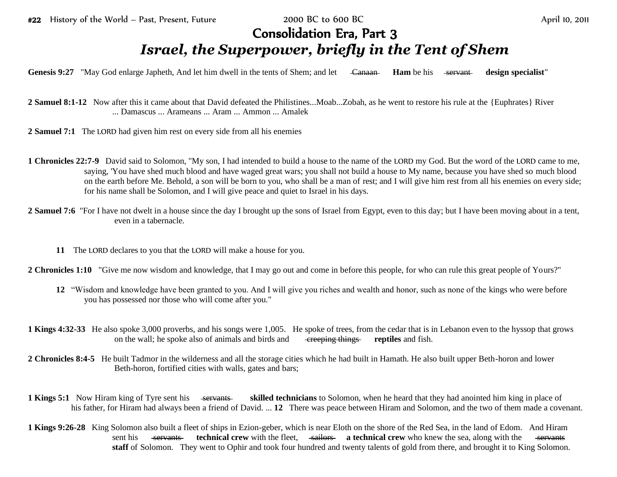## Consolidation Era, Part 3 *Israel, the Superpower, briefly in the Tent of Shem*

Genesis 9:27 "May God enlarge Japheth, And let him dwell in the tents of Shem; and let <del>Canaan Ham</del> be his <del>servant</del> design specialist"

**2 Samuel 8:1-12** Now after this it came about that David defeated the Philistines...Moab...Zobah, as he went to restore his rule at the {Euphrates} River ... Damascus ... Arameans ... Aram ... Ammon ... Amalek

**2 Samuel 7:1** The LORD had given him rest on every side from all his enemies

- **1 Chronicles 22:7-9** David said to Solomon, "My son, I had intended to build a house to the name of the LORD my God. But the word of the LORD came to me, saying, 'You have shed much blood and have waged great wars; you shall not build a house to My name, because you have shed so much blood on the earth before Me. Behold, a son will be born to you, who shall be a man of rest; and I will give him rest from all his enemies on every side; for his name shall be Solomon, and I will give peace and quiet to Israel in his days.
- **2 Samuel 7:6** "For I have not dwelt in a house since the day I brought up the sons of Israel from Egypt, even to this day; but I have been moving about in a tent, even in a tabernacle.
	- **11** The LORD declares to you that the LORD will make a house for you.

**2 Chronicles 1:10** "Give me now wisdom and knowledge, that I may go out and come in before this people, for who can rule this great people of Yours?"

- **12** "Wisdom and knowledge have been granted to you. And I will give you riches and wealth and honor, such as none of the kings who were before you has possessed nor those who will come after you."
- **1 Kings 4:32-33** He also spoke 3,000 proverbs, and his songs were 1,005. He spoke of trees, from the cedar that is in Lebanon even to the hyssop that grows on the wall; he spoke also of animals and birds and creeping things **reptiles** and fish.
- **2 Chronicles 8:4-5** He built Tadmor in the wilderness and all the storage cities which he had built in Hamath. He also built upper Beth-horon and lower Beth-horon, fortified cities with walls, gates and bars;
- **1 Kings 5:1** Now Hiram king of Tyre sent his servants skilled technicians to Solomon, when he heard that they had anointed him king in place of his father, for Hiram had always been a friend of David. ... **12** There was peace between Hiram and Solomon, and the two of them made a covenant.
- **1 Kings 9:26-28** King Solomon also built a fleet of ships in Ezion-geber, which is near Eloth on the shore of the Red Sea, in the land of Edom. And Hiram sent his servants **technical crew** with the fleet, sailors **a technical crew** who knew the sea, along with the servants **staff** of Solomon. They went to Ophir and took four hundred and twenty talents of gold from there, and brought it to King Solomon.